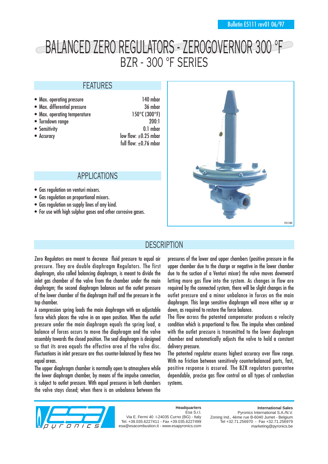# BALANCED ZERO REGULATORS - ZEROGOVERNOR 300 °F BZR - 300 °F SERIES

### FEATURES

- Max. operating pressure 140 mbar
- Max. differential pressure 36 mbar
- Max. operating temperature 150°C (300°F)
- 
- 
- 

• Turndown range 200:1 • Sensitivity 0.1 mbar • Accuracy  $\overline{\phantom{a}}$  low flow:  $\pm$ 0.25 mbar full flow:  $+0.76$  mbar

### APPLICATIONS

- Gas regulation on venturi mixers.
- Gas regulation on proportional mixers.
- Gas regulation on supply lines of any kind.
- For use with high sulphur gases and other corrosive gases.



## **DESCRIPTION**

Zero Regulators are meant to decrease fluid pressure to equal air pressure. They are double diaphragm Regulators. The first diaphragm, also called balancing diaphragm, is meant to divide the inlet gas chamber of the valve from the chamber under the main diaphragm; the second diaphragm balances out the outlet pressure of the lower chamber of the diaphragm itself and the pressure in the top chamber.

A compression spring loads the main diaphragm with an adjustable force which places the valve in an open position. When the outlet pressure under the main diaphragm equals the spring load, a balance of forces occurs to move the diaphragm and the valve assembly towards the closed position. The seal diaphragm is designed so that its area equals the effective area of the valve disc. Fluctuations in inlet pressure are thus counter-balanced by these two equal areas.

The upper diaphragm chamber is normally open to atmosphere while the lower diaphragm chamber, by means of the impulse connection, is subject to outlet pressure. With equal pressures in both chambers the valve stays closed; when there is an unbalance between the

pressures of the lower and upper chambers (positive pressure in the upper chamber due to the charge or negative in the lower chamber due to the suction of a Venturi mixer) the valve moves downward letting more gas flow into the system. As changes in flow are required by the connected system, there will be slight changes in the outlet pressure and a minor unbalance in forces on the main diaphragm. This large sensitive diaphragm will move either up or down, as required to restore the force balance.

The flow across the patented compensator produces a velocity condition which is proportional to flow. The impulse when combined with the outlet pressure is transmitted to the lower diaphragm chamber and automatically adjusts the valve to hold a constant delivery pressure.

The patented regulator assures highest accuracy over flow range. With no friction between sensitively counterbalanced parts, fast, positive response is assured. The BZR regulators guarantee dependable, precise gas flow control on all types of combustion systems.



#### **Headquarters** Esa S.r.l.

Via E. Fermi 40 I-24035 Curno (BG) - Italy Tel. +39.035.6227411 - Fax +39.035.6227499 esa@esacombustion.it - www.esapyronics.com

**International Sales** Pyronics International S.A./N.V. Zoning Ind., 4ème rue B-6040 Jumet - Belgium Tel +32.71.256970 - Fax +32.71.256979 marketing@pyronics.be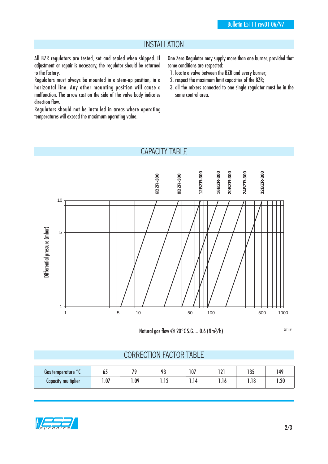# INSTALLATION

All BZR regulators are tested, set and sealed when shipped. If adjustment or repair is necessary, the regulator should be returned to the factory.

Regulators must always be mounted in a stem-up position, in a horizontal line. Any other mounting position will cause a malfunction. The arrow cast on the side of the valve body indicates direction flow.

Regulators should not be installed in areas where operating temperatures will exceed the maximum operating value.

One Zero Regulator may supply more than one burner, provided that some conditions are respected:

- 1. locate a valve between the BZR and every burner;
- 2. respect the maximum limit capacities of the BZR;
- 3. all the mixers connected to one single regulator must be in the same control area.

# CAPACITY TABLE



Natural gas flow @ 20 $^{\circ}$ C S.G. = 0.6 (Nm<sup>3</sup>/h)

G5111I01

### CORRECTION FACTOR TABLE

| $\circ$<br>Gas temperature | כס   | $\overline{\phantom{a}}$ | በጋ<br>1 v         | 107  | ו ח<br>. | $\overline{ }$<br>נט ו   | 149 |
|----------------------------|------|--------------------------|-------------------|------|----------|--------------------------|-----|
| <b>Capacity multiplier</b> | 1.07 | .09                      | ה ד<br>. <i>.</i> | 1.14 | .10      | <b>10</b><br><b>1.10</b> | .20 |